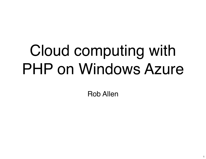#### Cloud computing with PHP on Windows Azure

Rob Allen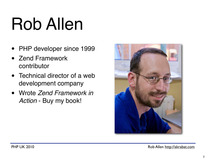## Rob Allen

- PHP developer since 1999
- Zend Framework contributor
- Technical director of a web development company
- Wrote *Zend Framework in Action* - Buy my book!

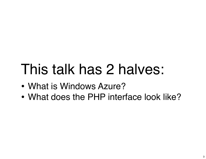#### This talk has 2 halves:

- What is Windows Azure?
- What does the PHP interface look like?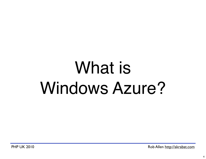#### What is Windows Azure?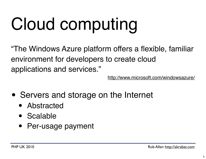# Cloud computing

"The Windows Azure platform offers a flexible, familiar environment for developers to create cloud applications and services."

<http://www.microsoft.com/windowsazure/>

- Servers and storage on the Internet
	- Abstracted
	- Scalable
	- Per-usage payment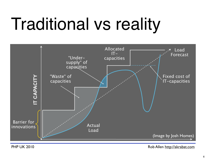# Traditional vs reality

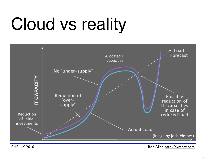# Cloud vs reality

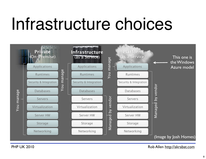#### Infrastructure choices

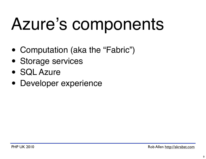# Azure's components

- Computation (aka the "Fabric")
- Storage services
- SQL Azure
- Developer experience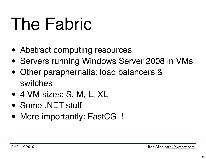## The Fabric

- Abstract computing resources
- Servers running Windows Server 2008 in VMs
- Other paraphernalia: load balancers & switches
- 4 VM sizes: S, M, L, XL
- Some .NET stuff
- More importantly: FastCGI !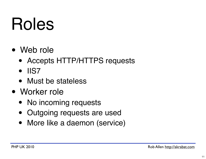#### Roles

- Web role
	- Accepts HTTP/HTTPS requests
	- IIS7
	- Must be stateless
- Worker role
	- No incoming requests
	- Outgoing requests are used
	- More like a daemon (service)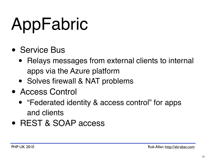# AppFabric

- Service Bus
	- Relays messages from external clients to internal apps via the Azure platform
	- Solves firewall & NAT problems
- Access Control
	- "Federated identity & access control" for apps and clients
- REST & SOAP access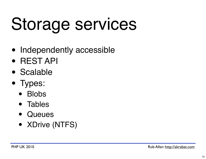# Storage services

- Independently accessible
- REST API
- Scalable
- Types:
	- Blobs
	- Tables
	- Queues
	- XDrive (NTFS)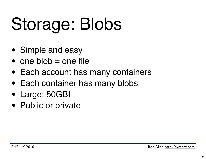# Storage: Blobs

- Simple and easy
- one blob  $=$  one file
- Each account has many containers
- Each container has many blobs
- Large: 50GB!
- Public or private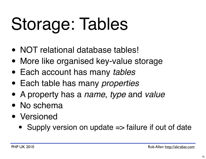# Storage: Tables

- NOT relational database tables!
- More like organised key-value storage
- Each account has many *tables*
- Each table has many *properties*
- A property has a *name*, *type* and *value*
- No schema
- Versioned
	- Supply version on update  $\Rightarrow$  failure if out of date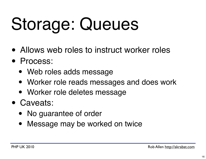# Storage: Queues

- Allows web roles to instruct worker roles
- Process:
	- Web roles adds message
	- Worker role reads messages and does work
	- Worker role deletes message
- Caveats:
	- No guarantee of order
	- Message may be worked on twice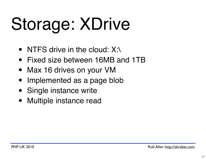# Storage: XDrive

- NTFS drive in the cloud: X:\
- Fixed size between 16MB and 1TB
- Max 16 drives on your VM
- Implemented as a page blob
- Single instance write
- Multiple instance read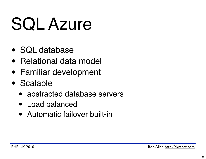# SQL Azure

- SQL database
- Relational data model
- Familiar development
- Scalable
	- abstracted database servers
	- Load balanced
	- Automatic failover built-in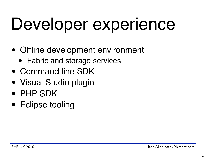# Developer experience

- Offline development environment
	- Fabric and storage services
- Command line SDK
- Visual Studio plugin
- PHP SDK
- Eclipse tooling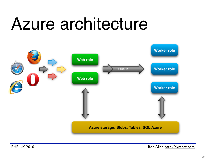#### Azure architecture

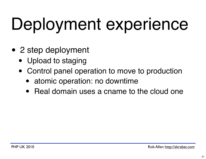# Deployment experience

- 2 step deployment
	- Upload to staging
	- Control panel operation to move to production
		- atomic operation: no downtime
		- Real domain uses a cname to the cloud one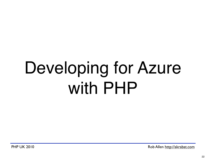## Developing for Azure with PHP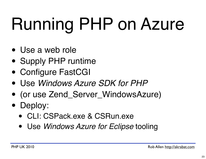# Running PHP on Azure

- Use a web role
- Supply PHP runtime
- Configure FastCGI
- Use *Windows Azure SDK for PHP*
- (or use Zend\_Server\_WindowsAzure)
- Deploy:
	- CLI: CSPack.exe & CSRun.exe
	- Use *Windows Azure for Eclipse* tooling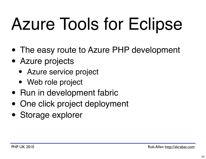# Azure Tools for Eclipse

- The easy route to Azure PHP development
- Azure projects
	- Azure service project
	- Web role project
- Run in development fabric
- One click project deployment
- Storage explorer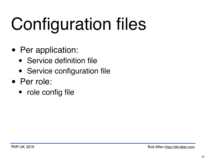# Configuration files

- Per application:
	- Service definition file
	- Service configuration file
- Per role:
	- role config file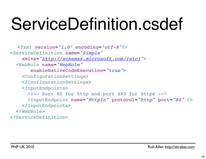## ServiceDefinition.csdef

```
<?xml version="1.0" encoding="utf-8"?>
<ServiceDefinition name="Simple"
 xmlns=
"http://schemas.microsoft.com/{etc}">
   <WebRole name="WebRole"
        enableNativeCodeExecution="true">
     <ConfigurationSettings> 
     </ConfigurationSettings>
     <InputEndpoints>
       <!-- Port 80 for http and port 443 for https -->
       <InputEndpoint name="HttpIn" protocol="http" port="80" />
     </InputEndpoints>
   </WebRole>
</ServiceDefinition>
```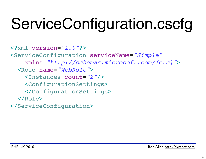#### ServiceConfiguration.cscfg

<?xml version=*"1.0"*?> <ServiceConfiguration serviceName=*"Simple"* ! ! xmlns= *["http://schemas.microsoft.com/{etc}"](http://schemas.microsoft.com/ServiceHosting/2008/10/ServiceConfiguration)*> <Role name=*"WebRole"*> <Instances count=*"2"*/> <ConfigurationSettings> </ConfigurationSettings> </Role> </ServiceConfiguration>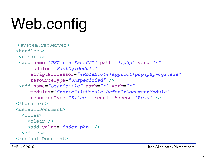### Web.config

```
<system.webServer>
 <handlers>
 <clear />
  <add name="PHP via FastCGI" path="*.php" verb="*"
      modules="FastCgiModule"
      scriptProcessor="%RoleRoot%\approot\php\php-cgi.exe"
      resourceType="Unspecified" />
  <add name="StaticFile" path="*" verb="*"
      modules="StaticFileModule,DefaultDocumentModule"
      resourceType="Either" requireAccess="Read" />
 </handlers>
 <defaultDocument>
   <files>
     <clear />
    <add value="index.php" />
   </files>
 </defaultDocument>
```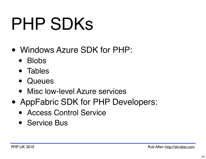# PHP SDKs

- [Windows Azure SDK for PHP:](http://phpazure.codeplex.com/)
	- [•](http://phpazure.codeplex.com/) Blobs
	- Tables
	- Queues
	- Misc low-level Azure services
- AppFabric SDK for PHP Developers:
	- Access Control Service
	- Service Bus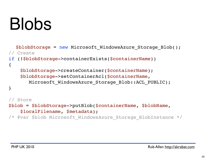#### Blobs

```
$blobStorage = new Microsoft_WindowsAzure_Storage_Blob();
// Create
if (!$blobStorage->containerExists($containerName))
{
     $blobStorage->createContainer($containerName);
     $blobStorage->setContainerAcl($containerName, 
       Microsoft WindowsAzure Storage Blob::ACL PUBLIC);
}
// Store
```
\$blob = \$blobStorage->putBlob(\$containerName, \$blobName, \$localFilename, \$metadata);

/\* @var \$blob Microsoft\_WindowsAzure\_Storage\_BlobInstance \*/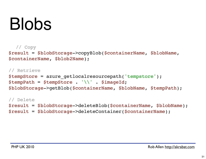#### Blobs

```
// Copy
```
\$result = \$blobStorage->copyBlob(\$containerName, \$blobName, \$containerName, \$blob2Name);

#### // Retrieve \$tempStore = azure\_getlocalresourcepath('tempstore'); \$tempPath = \$tempStore . '\\' . \$imageId; \$blobStorage->getBlob(\$containerName, \$blobName, \$tempPath);

// Delete \$result = \$blobStorage->deleteBlob(\$containerName, \$blobName); \$result = \$blobStorage->deleteContainer(\$containerName);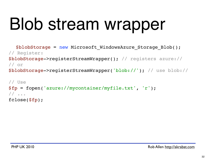# Blob stream wrapper

```
$blobStorage = new Microsoft WindowsAzure Storage Blob();
// Register:
$blobStorage->registerStreamWrapper(); // registers azure://
// or
$blobStorage->registerStreamWrapper('blob://'); // use blob://
```

```
// Use
$fp = fopen('azure://mycontainer/myfile.txt', 'r');
// ...
fclose($fp);
```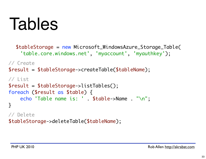#### Tables

```
$tableStorage = new Microsoft_WindowsAzure_Storage_Table(
     'table.core.windows.net', 'myaccount', 'myauthkey');
// Create
$result = $tableStorage->createTable($tableName);
// List 
$result = $tableStorage->listTables();
foreach ($result as $table) {
     echo 'Table name is: ' . $table->Name . "\n";
}
// Delete
$tableStorage->deleteTable($tableName);
```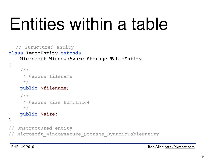## Entities within a table

```
// Structured entity
class ImageEntity extends
```
Microsoft\_WindowsAzure\_Storage\_TableEntity

```
{
     /**
      * @azure filename
      */
     public $filename;
     /**
      * @azure size Edm.Int64
     \star/ public $size;
}
  Unstructured entity
// Microsoft_WindowsAzure_Storage_DynamicTableEntity
```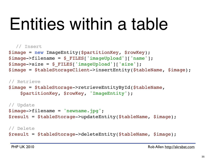## Entities within a table

#### // Insert

```
$image = new ImageEntity($partitionKey, $rowKey);
$image->filename = $_FILES['imageUpload']['name'];
$image->size = $_FILES['imageUpload']['size'];
$image = $tableStorageClient->insertEntity($tableName, $image);
```

```
// Retrieve
$image = $tableStorage->retrieveEntityById($tableName, 
     $partitionKey, $rowKey, 'ImageEntity');
```

```
// Update
$image->filename = 'newname.jpg';
$result = $tableStorage->updateEntity($tableName, $image);
```
// Delete \$result = \$tableStorage->deleteEntity(\$tableName, \$image);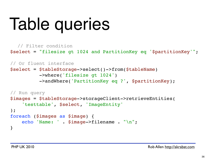# Table queries

```
// Filter condition
$select = "filesize gt 1024 and PartitionKey eq '$partitionKey'";
```

```
// Or fluent interface
$select = $tableStorage->select()->from($tableName)
           ->where('filesize gt 1024')
           ->andWhere('PartitionKey eq ?', $partitionKey);
```

```
// Run query
$images = $tableStorage->storageClient->retrieveEntities(
     'testtable', $select, 'ImageEntity'
);
foreach ($images as $image) {
     echo 'Name: ' . $image->filename . "\n";
}
```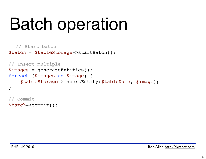## Batch operation

```
// Start batch
$batch = $tableStorage->startBatch();
```

```
// Insert multiple
$images = generateEntities();
foreach ($images as $image) {
     $tableStorage->insertEntity($tableName, $image);
}
```
// Commit \$batch->commit();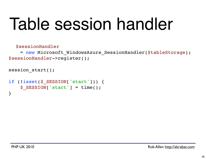#### Table session handler

\$sessionHandler

= new Microsoft WindowsAzure SessionHandler(\$tableStorage); \$sessionHandler->register();

```
session start();
if (!isset($_SESSION['start'])) {
    \S SESSION['start'] = time();
}
```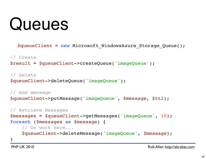#### Queues

\$queueClient = new Microsoft\_WindowsAzure\_Storage\_Queue();

// Create \$result = \$queueClient->createQueue('imageQueue');

// Delete \$queueClient->deleteQueue('imageQueue');

```
// Add message
$queueClient->putMessage('imageQueue', $message, $ttl);
```

```
// Retrieve Messages
$messages = $queueClient->getMessages('imageQueue', 10);
foreach ($messages as $message) {
     // Do work here...
     $queueClient->deleteMessage('imageQueue', $message);
}
```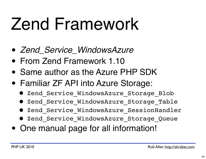## Zend Framework

- *Zend\_Service\_WindowsAzure*
- From Zend Framework 1.10
- Same author as the Azure PHP SDK
- Familiar ZF API into Azure Storage:
	- Zend\_Service\_WindowsAzure\_Storage\_Blob
	- Zend Service WindowsAzure Storage Table
	- Zend Service WindowsAzure SessionHandler
	- Zend\_Service\_WindowsAzure\_Storage\_Queue
- One manual page for all information!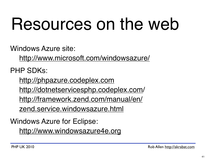## Resources on the web

Windows Azure site:

<http://www.microsoft.com/windowsazure/>

PHP SDKs:

<http://phpazure.codeplex.com> [http://dotnetservicesphp.codeplex.com/](http://dotnetservicesphp.codeplex.com) [http://framework.zend.com/manual/en/](http://framework.zend.com/manual/en/zend.service.windowsazure.html) [zend.service.windowsazure.html](http://framework.zend.com/manual/en/zend.service.windowsazure.html)

Windows Azure for Eclipse:

<http://www.windowsazure4e.org>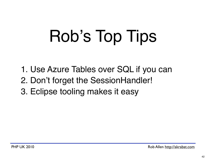# Rob's Top Tips

- 1. Use Azure Tables over SQL if you can
- 2. Don't forget the SessionHandler!
- 3. Eclipse tooling makes it easy